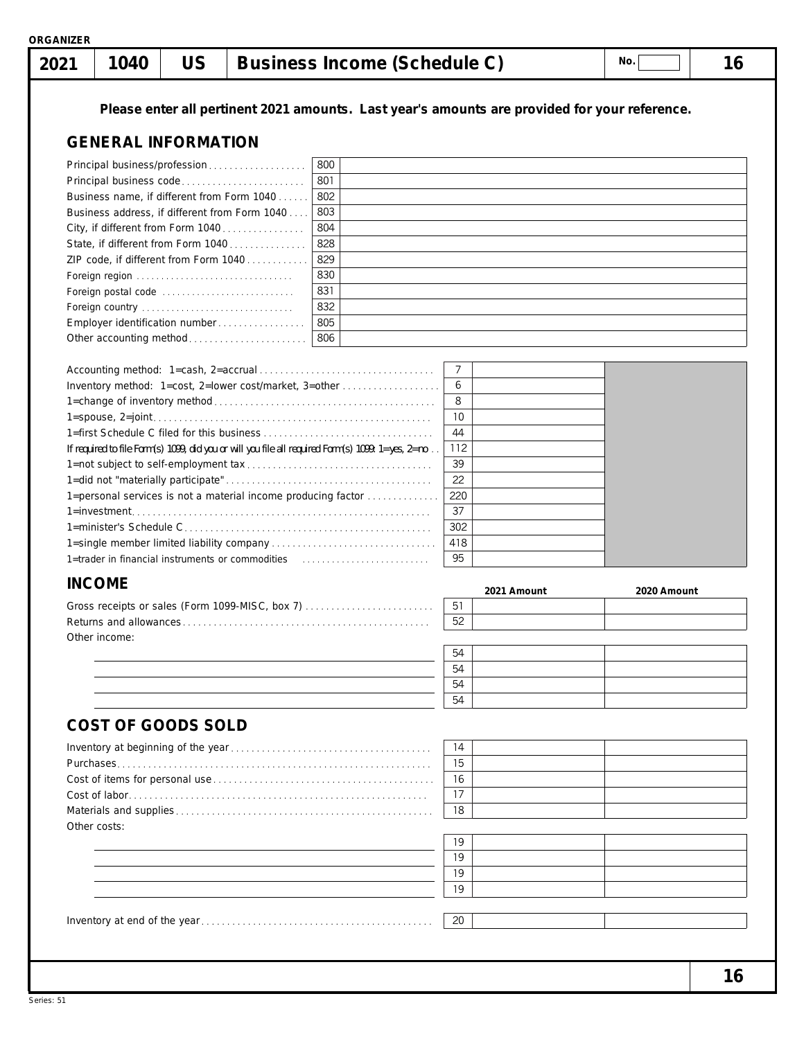| 1040<br>2021                                                                       | <b>US</b> | <b>Business Income (Schedule C)</b>                                                               |             | No.                                                                                           | 16 |
|------------------------------------------------------------------------------------|-----------|---------------------------------------------------------------------------------------------------|-------------|-----------------------------------------------------------------------------------------------|----|
|                                                                                    |           |                                                                                                   |             | Please enter all pertinent 2021 amounts. Last year's amounts are provided for your reference. |    |
| <b>GENERAL INFORMATION</b>                                                         |           |                                                                                                   |             |                                                                                               |    |
| Principal business/profession                                                      |           | 800                                                                                               |             |                                                                                               |    |
| Principal business code                                                            |           | 801                                                                                               |             |                                                                                               |    |
| Business name, if different from Form 1040                                         |           | 802                                                                                               |             |                                                                                               |    |
| Business address, if different from Form 1040<br>City, if different from Form 1040 |           | 803<br>804                                                                                        |             |                                                                                               |    |
| State, if different from Form 1040                                                 |           | 828                                                                                               |             |                                                                                               |    |
| ZIP code, if different from Form 1040                                              |           | 829                                                                                               |             |                                                                                               |    |
| Foreign region                                                                     |           | 830                                                                                               |             |                                                                                               |    |
| Foreign postal code                                                                |           | 831                                                                                               |             |                                                                                               |    |
| Foreign country                                                                    |           | 832                                                                                               |             |                                                                                               |    |
| Employer identification number<br>Other accounting method                          |           | 805<br>806                                                                                        |             |                                                                                               |    |
|                                                                                    |           |                                                                                                   |             |                                                                                               |    |
|                                                                                    |           |                                                                                                   | 7           |                                                                                               |    |
|                                                                                    |           | Inventory method: 1=cost, 2=lower cost/market, 3=other                                            | 6           |                                                                                               |    |
|                                                                                    |           |                                                                                                   | 8           |                                                                                               |    |
|                                                                                    |           |                                                                                                   | 10          |                                                                                               |    |
|                                                                                    |           |                                                                                                   | 44          |                                                                                               |    |
|                                                                                    |           | If required to file Form(s) 1099, did you or will you file all required Form(s) 1099: 1=yes, 2=no | 112<br>39   |                                                                                               |    |
|                                                                                    |           |                                                                                                   | 22          |                                                                                               |    |
|                                                                                    |           | 1=personal services is not a material income producing factor                                     | 220         |                                                                                               |    |
|                                                                                    |           |                                                                                                   | 37          |                                                                                               |    |
|                                                                                    |           |                                                                                                   | 302         |                                                                                               |    |
|                                                                                    |           |                                                                                                   | 418         |                                                                                               |    |
|                                                                                    |           |                                                                                                   | 95          |                                                                                               |    |
| <b>INCOME</b>                                                                      |           |                                                                                                   | 2021 Amount | 2020 Amount                                                                                   |    |
|                                                                                    |           | Gross receipts or sales (Form 1099-MISC, box 7)                                                   | 51          |                                                                                               |    |
|                                                                                    |           |                                                                                                   | 52          |                                                                                               |    |
| Other income:                                                                      |           |                                                                                                   |             |                                                                                               |    |
|                                                                                    |           |                                                                                                   | 54          |                                                                                               |    |
|                                                                                    |           |                                                                                                   | 54<br>54    |                                                                                               |    |
|                                                                                    |           |                                                                                                   | 54          |                                                                                               |    |
|                                                                                    |           |                                                                                                   |             |                                                                                               |    |
| <b>COST OF GOODS SOLD</b>                                                          |           |                                                                                                   |             |                                                                                               |    |
|                                                                                    |           |                                                                                                   | 14          |                                                                                               |    |
|                                                                                    |           |                                                                                                   | 15          |                                                                                               |    |
|                                                                                    |           |                                                                                                   | 16<br>17    |                                                                                               |    |
|                                                                                    |           |                                                                                                   | 18          |                                                                                               |    |
| Other costs:                                                                       |           |                                                                                                   |             |                                                                                               |    |
|                                                                                    |           |                                                                                                   | 19          |                                                                                               |    |
|                                                                                    |           |                                                                                                   | 19          |                                                                                               |    |
|                                                                                    |           |                                                                                                   | 19          |                                                                                               |    |
|                                                                                    |           |                                                                                                   | 19          |                                                                                               |    |
|                                                                                    |           |                                                                                                   |             |                                                                                               |    |
|                                                                                    |           |                                                                                                   | 20          |                                                                                               |    |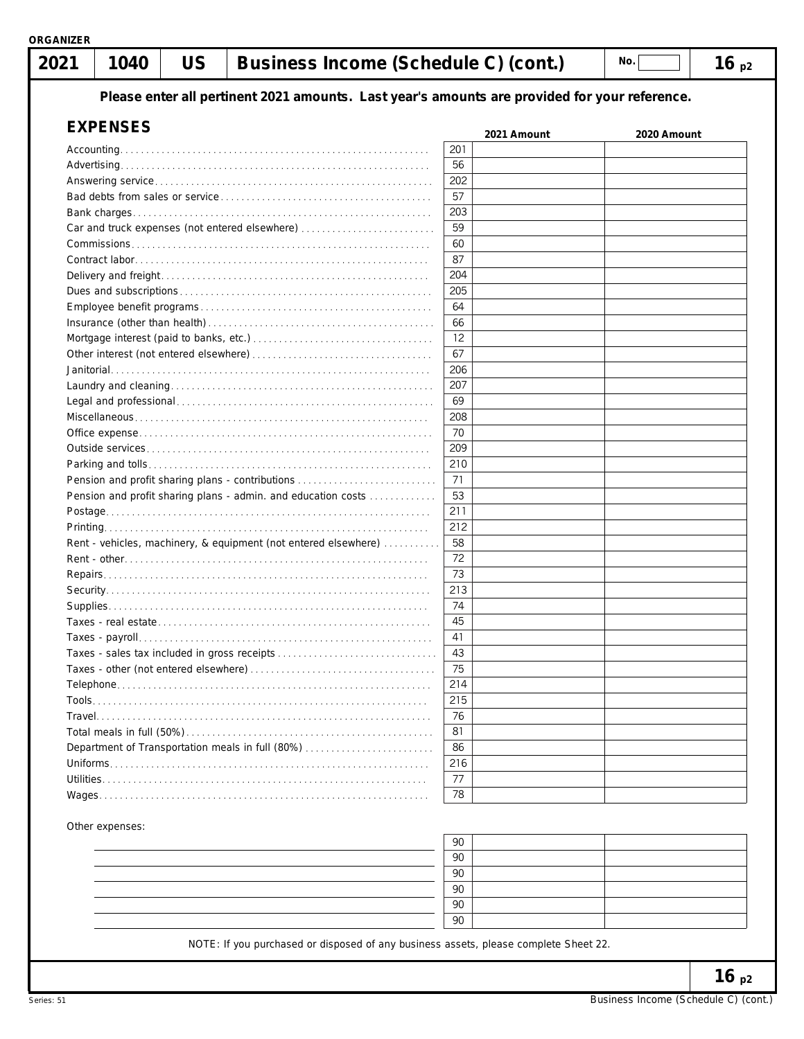### <code>| 2021 | 1040 | US | Business Income (Schedule C) (cont.)  $\qquad \qquad \text{No.} \qquad \qquad \text{No.} \qquad \qquad \text{No.} \qquad \qquad \text{No.} \qquad \qquad \text{No.} \qquad \qquad \text{No.} \qquad \qquad \text{No.} \qquad \qquad \text{No.} \qquad \text{No.} \qquad \text{No.} \qquad \text{No.} \qquad \text{No.} \qquad \text{No.} \qquad \text{No.} \qquad \text{No.} \qquad$

**Please enter all pertinent 2021 amounts. Last year's amounts are provided for your reference.**

| <b>EXPENSES</b>                                                 | 2021 Amount | 2020 Amount |
|-----------------------------------------------------------------|-------------|-------------|
|                                                                 | 201         |             |
|                                                                 | 56          |             |
|                                                                 | 202         |             |
|                                                                 | 57          |             |
|                                                                 | 203         |             |
| Car and truck expenses (not entered elsewhere)                  | 59          |             |
|                                                                 | 60          |             |
|                                                                 | 87          |             |
|                                                                 | 204         |             |
|                                                                 | 205         |             |
|                                                                 | 64          |             |
|                                                                 | 66          |             |
|                                                                 | 12          |             |
|                                                                 | 67          |             |
|                                                                 | 206         |             |
|                                                                 | 207         |             |
|                                                                 | 69          |             |
|                                                                 |             |             |
|                                                                 | 208         |             |
|                                                                 | 70          |             |
|                                                                 | 209         |             |
|                                                                 | 210         |             |
| Pension and profit sharing plans - contributions                | 71          |             |
| Pension and profit sharing plans - admin. and education costs   | 53          |             |
|                                                                 | 211         |             |
|                                                                 | 212         |             |
| Rent - vehicles, machinery, & equipment (not entered elsewhere) | 58          |             |
|                                                                 | 72          |             |
|                                                                 | 73          |             |
|                                                                 | 213         |             |
|                                                                 | 74          |             |
|                                                                 | 45          |             |
|                                                                 | 41          |             |
| Taxes - sales tax included in gross receipts                    | 43          |             |
|                                                                 | 75          |             |
|                                                                 | 214         |             |
|                                                                 | 215         |             |
|                                                                 | 76          |             |
|                                                                 | 81          |             |
| Department of Transportation meals in full (80%)                | 86          |             |
|                                                                 | 216         |             |
|                                                                 | 77          |             |
|                                                                 | 78          |             |
| Wages.                                                          |             |             |
| Other expenses:                                                 | 90          |             |
|                                                                 | 90          |             |
|                                                                 | 90          |             |
|                                                                 |             |             |
|                                                                 | 90          |             |

|                                                                                                                 | 90 |  |
|-----------------------------------------------------------------------------------------------------------------|----|--|
|                                                                                                                 | 90 |  |
|                                                                                                                 | 90 |  |
|                                                                                                                 | 90 |  |
|                                                                                                                 | 90 |  |
|                                                                                                                 | 90 |  |
| - 1982년 - 1983년 - 1983년 - 1983년 - 1983년 - 1983년 - 1983년 - 1983년 - 1983년 - 1983년 - 1983년 - 1983년 - 1983년 - 1983년 |    |  |

NOTE: If you purchased or disposed of any business assets, please complete Sheet 22.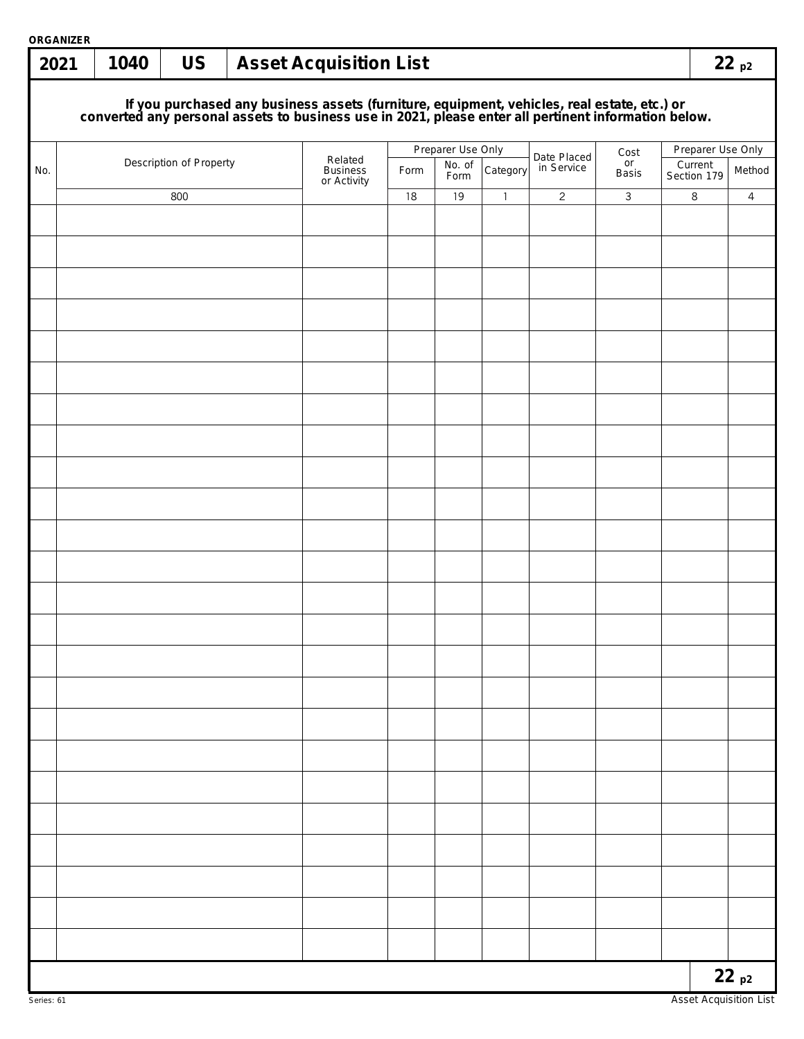| <b>ORGANIZER</b><br>2021 | 1040 | <b>US</b>               |  | <b>Asset Acquisition List</b>                                                                                                                                                                    |      |                   |                |                |                |                        | 22p2              |
|--------------------------|------|-------------------------|--|--------------------------------------------------------------------------------------------------------------------------------------------------------------------------------------------------|------|-------------------|----------------|----------------|----------------|------------------------|-------------------|
|                          |      |                         |  |                                                                                                                                                                                                  |      |                   |                |                |                |                        |                   |
|                          |      |                         |  | If you purchased any business assets (furniture, equipment, vehicles, real estate, etc.) or converted any personal assets to business use in 2021, please enter all pertinent information below. |      |                   |                |                |                |                        |                   |
|                          |      |                         |  | Related                                                                                                                                                                                          |      | Preparer Use Only |                | Date Placed    | Cost           |                        | Preparer Use Only |
| No.                      |      | Description of Property |  | <b>Business</b><br>or Activity                                                                                                                                                                   | Form | No. of<br>Form    | Category       | in Service     | or<br>Basis    | Current<br>Section 179 | Method            |
|                          |      | 800                     |  |                                                                                                                                                                                                  | 18   | 19                | $\overline{1}$ | $\overline{2}$ | $\overline{3}$ | 8                      | $\overline{4}$    |
|                          |      |                         |  |                                                                                                                                                                                                  |      |                   |                |                |                |                        |                   |
|                          |      |                         |  |                                                                                                                                                                                                  |      |                   |                |                |                |                        |                   |
|                          |      |                         |  |                                                                                                                                                                                                  |      |                   |                |                |                |                        |                   |
|                          |      |                         |  |                                                                                                                                                                                                  |      |                   |                |                |                |                        |                   |
|                          |      |                         |  |                                                                                                                                                                                                  |      |                   |                |                |                |                        |                   |
|                          |      |                         |  |                                                                                                                                                                                                  |      |                   |                |                |                |                        |                   |
|                          |      |                         |  |                                                                                                                                                                                                  |      |                   |                |                |                |                        |                   |
|                          |      |                         |  |                                                                                                                                                                                                  |      |                   |                |                |                |                        |                   |
|                          |      |                         |  |                                                                                                                                                                                                  |      |                   |                |                |                |                        |                   |
|                          |      |                         |  |                                                                                                                                                                                                  |      |                   |                |                |                |                        |                   |
|                          |      |                         |  |                                                                                                                                                                                                  |      |                   |                |                |                |                        |                   |
|                          |      |                         |  |                                                                                                                                                                                                  |      |                   |                |                |                |                        |                   |
|                          |      |                         |  |                                                                                                                                                                                                  |      |                   |                |                |                |                        |                   |
|                          |      |                         |  |                                                                                                                                                                                                  |      |                   |                |                |                |                        |                   |
|                          |      |                         |  |                                                                                                                                                                                                  |      |                   |                |                |                |                        |                   |
|                          |      |                         |  |                                                                                                                                                                                                  |      |                   |                |                |                |                        |                   |
|                          |      |                         |  |                                                                                                                                                                                                  |      |                   |                |                |                |                        |                   |
|                          |      |                         |  |                                                                                                                                                                                                  |      |                   |                |                |                |                        |                   |
|                          |      |                         |  |                                                                                                                                                                                                  |      |                   |                |                |                |                        |                   |
|                          |      |                         |  |                                                                                                                                                                                                  |      |                   |                |                |                |                        |                   |
|                          |      |                         |  |                                                                                                                                                                                                  |      |                   |                |                |                |                        |                   |
|                          |      |                         |  |                                                                                                                                                                                                  |      |                   |                |                |                |                        |                   |
|                          |      |                         |  |                                                                                                                                                                                                  |      |                   |                |                |                |                        |                   |
|                          |      |                         |  |                                                                                                                                                                                                  |      |                   |                |                |                |                        |                   |
|                          |      |                         |  |                                                                                                                                                                                                  |      |                   |                |                |                |                        |                   |
|                          |      |                         |  |                                                                                                                                                                                                  |      |                   |                |                |                |                        | 22p2              |